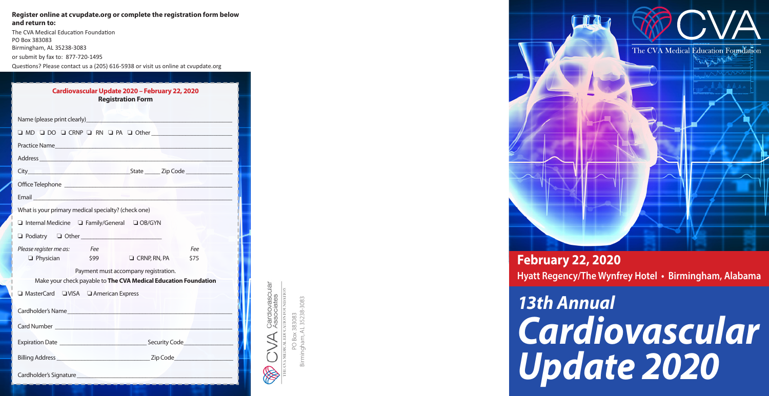#### **Register online at cvupdate.org or complete the registration form below and return to:**

The CVA Medical Education Foundation PO Box 383083 Birmingham, AL 35238-3083 or submit by fax to: 877-720-1495

Questions? Please contact us a (205) 616-5938 or visit us online at cvupdate.org

| Cardiovascular Update 2020 - February 22, 2020<br><b>Registration Form</b>                                                        |  |  |  |
|-----------------------------------------------------------------------------------------------------------------------------------|--|--|--|
| Name (please print clearly)<br>Name (please print clearly)                                                                        |  |  |  |
| O MD O DO O CRNP O RN O PA O Other                                                                                                |  |  |  |
|                                                                                                                                   |  |  |  |
|                                                                                                                                   |  |  |  |
|                                                                                                                                   |  |  |  |
|                                                                                                                                   |  |  |  |
| <b>Professor</b><br>Email and the contract of the contract of the contract of the contract of the contract of the contract of the |  |  |  |
| What is your primary medical specialty? (check one)                                                                               |  |  |  |
| Internal Medicine I Family/General I OB/GYN                                                                                       |  |  |  |
| D Podiatry D Other 2010 10:00 10:00 10:00 10:00 10:00 10:00 10:00 10:00 10:00 10:00 10:00 10:00 10:00 10:00 10                    |  |  |  |
| Please register me as: Fee<br>Fee<br>$\Box$ Physician<br>\$99<br>$\Box$ CRNP, RN, PA<br>\$75                                      |  |  |  |
| Payment must accompany registration.<br>Make your check payable to The CVA Medical Education Foundation                           |  |  |  |
| □ MasterCard □VISA □ American Express<br>Cardholder's Name                                                                        |  |  |  |
|                                                                                                                                   |  |  |  |
| Card Number Lawrence and Carolina and Carolina and Carolina and Carolina and Carolina and Carolina and Carolina                   |  |  |  |
|                                                                                                                                   |  |  |  |
|                                                                                                                                   |  |  |  |
| Cardholder's Signature                                                                                                            |  |  |  |



Birmingham, AL 35238-3083 383083 PO Box 383083



# *13th Annual Cardiovascular Update 2020*